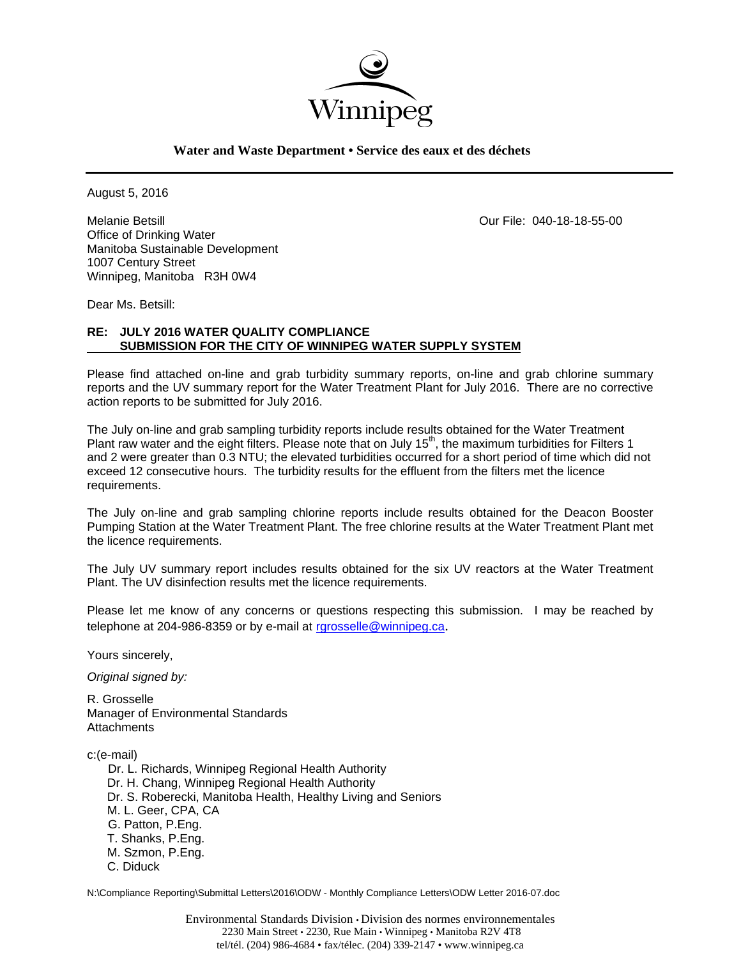

## **Water and Waste Department • Service des eaux et des déchets**

August 5, 2016

Melanie Betsill Our File: 040-18-18-55-00 Office of Drinking Water Manitoba Sustainable Development 1007 Century Street Winnipeg, Manitoba R3H 0W4

Dear Ms. Betsill:

# **RE: JULY 2016 WATER QUALITY COMPLIANCE SUBMISSION FOR THE CITY OF WINNIPEG WATER SUPPLY SYSTEM**

Please find attached on-line and grab turbidity summary reports, on-line and grab chlorine summary reports and the UV summary report for the Water Treatment Plant for July 2016. There are no corrective action reports to be submitted for July 2016.

The July on-line and grab sampling turbidity reports include results obtained for the Water Treatment Plant raw water and the eight filters. Please note that on July 15<sup>th</sup>, the maximum turbidities for Filters 1 and 2 were greater than 0.3 NTU; the elevated turbidities occurred for a short period of time which did not exceed 12 consecutive hours. The turbidity results for the effluent from the filters met the licence requirements.

The July on-line and grab sampling chlorine reports include results obtained for the Deacon Booster Pumping Station at the Water Treatment Plant. The free chlorine results at the Water Treatment Plant met the licence requirements.

The July UV summary report includes results obtained for the six UV reactors at the Water Treatment Plant. The UV disinfection results met the licence requirements.

Please let me know of any concerns or questions respecting this submission. I may be reached by telephone at 204-986-8359 or by e-mail at rgrosselle@winnipeg.ca.

Yours sincerely,

*Original signed by:* 

R. Grosselle Manager of Environmental Standards **Attachments** 

c:(e-mail)

 Dr. L. Richards, Winnipeg Regional Health Authority Dr. H. Chang, Winnipeg Regional Health Authority Dr. S. Roberecki, Manitoba Health, Healthy Living and Seniors M. L. Geer, CPA, CA G. Patton, P.Eng. T. Shanks, P.Eng. M. Szmon, P.Eng. C. Diduck

N:\Compliance Reporting\Submittal Letters\2016\ODW - Monthly Compliance Letters\ODW Letter 2016-07.doc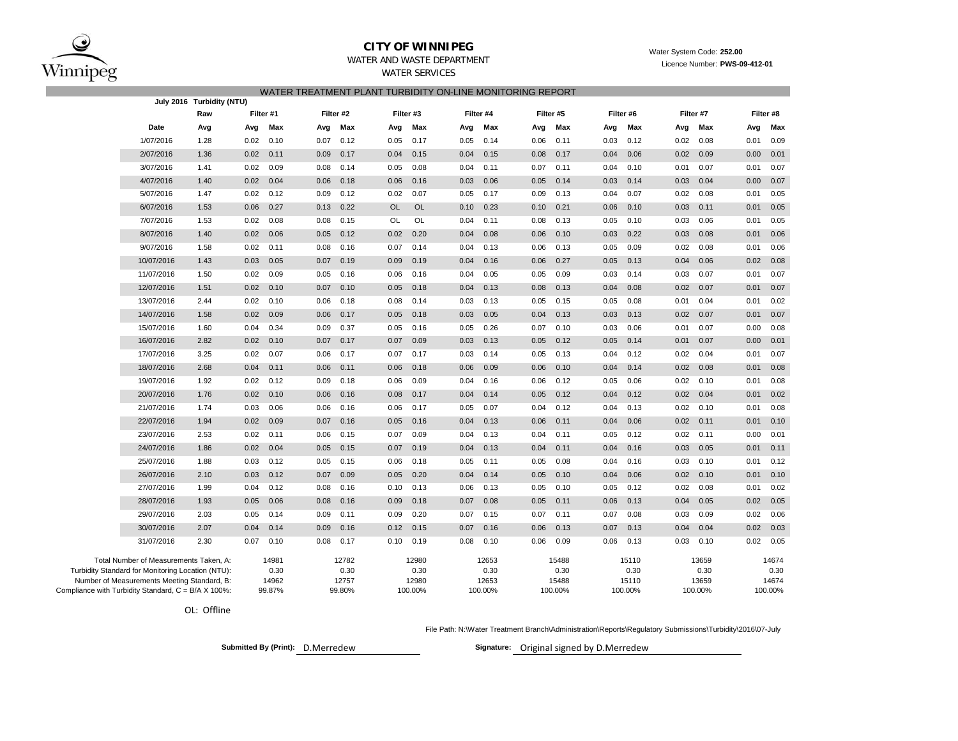

### **CITY OF WINNIPEG**WATER AND WASTE DEPARTMENT

Water System Code: **252.00**

Licence Number: **PWS-09-412-01**

| WATER SERVICES                                            |
|-----------------------------------------------------------|
| WATER TREATMENT PLANT TURBIDITY ON-LINE MONITORING REPORT |

| July 2016 Turbidity (NTU)                           |                                                   |      |      |           |      |           |           |           |      |           |      |           |      |           |      |           |      |           |  |  |  |  |  |
|-----------------------------------------------------|---------------------------------------------------|------|------|-----------|------|-----------|-----------|-----------|------|-----------|------|-----------|------|-----------|------|-----------|------|-----------|--|--|--|--|--|
|                                                     |                                                   | Raw  |      | Filter #1 |      | Filter #2 |           | Filter #3 |      | Filter #4 |      | Filter #5 |      | Filter #6 |      | Filter #7 |      | Filter #8 |  |  |  |  |  |
|                                                     | Date                                              | Avg  | Avg  | Max       | Avg  | Max       | Avg       | Max       | Avg  | Max       | Avg  | Max       | Avg  | Max       | Avg  | Max       | Avg  | Max       |  |  |  |  |  |
|                                                     | 1/07/2016                                         | 1.28 | 0.02 | 0.10      | 0.07 | 0.12      | 0.05      | 0.17      | 0.05 | 0.14      | 0.06 | 0.11      | 0.03 | 0.12      | 0.02 | 0.08      | 0.01 | 0.09      |  |  |  |  |  |
|                                                     | 2/07/2016                                         | 1.36 | 0.02 | 0.11      | 0.09 | 0.17      | 0.04      | 0.15      | 0.04 | 0.15      | 0.08 | 0.17      | 0.04 | 0.06      | 0.02 | 0.09      | 0.00 | 0.01      |  |  |  |  |  |
|                                                     | 3/07/2016                                         | 1.41 | 0.02 | 0.09      | 0.08 | 0.14      | 0.05      | 0.08      | 0.04 | 0.11      | 0.07 | 0.11      | 0.04 | 0.10      | 0.01 | 0.07      | 0.01 | 0.07      |  |  |  |  |  |
|                                                     | 4/07/2016                                         | 1.40 | 0.02 | 0.04      | 0.06 | 0.18      | 0.06      | 0.16      | 0.03 | 0.06      | 0.05 | 0.14      | 0.03 | 0.14      | 0.03 | 0.04      | 0.00 | 0.07      |  |  |  |  |  |
|                                                     | 5/07/2016                                         | 1.47 | 0.02 | 0.12      | 0.09 | 0.12      | 0.02      | 0.07      | 0.05 | 0.17      | 0.09 | 0.13      | 0.04 | 0.07      | 0.02 | 0.08      | 0.01 | 0.05      |  |  |  |  |  |
|                                                     | 6/07/2016                                         | 1.53 | 0.06 | 0.27      | 0.13 | 0.22      | <b>OL</b> | <b>OL</b> | 0.10 | 0.23      | 0.10 | 0.21      | 0.06 | 0.10      | 0.03 | 0.11      | 0.01 | 0.05      |  |  |  |  |  |
|                                                     | 7/07/2016                                         | 1.53 | 0.02 | 0.08      | 0.08 | 0.15      | OL        | OL        | 0.04 | 0.11      | 0.08 | 0.13      | 0.05 | 0.10      | 0.03 | 0.06      | 0.01 | 0.05      |  |  |  |  |  |
|                                                     | 8/07/2016                                         | 1.40 | 0.02 | 0.06      | 0.05 | 0.12      | 0.02      | 0.20      | 0.04 | 0.08      | 0.06 | 0.10      | 0.03 | 0.22      | 0.03 | 0.08      | 0.01 | 0.06      |  |  |  |  |  |
|                                                     | 9/07/2016                                         | 1.58 | 0.02 | 0.11      | 0.08 | 0.16      | 0.07      | 0.14      | 0.04 | 0.13      | 0.06 | 0.13      | 0.05 | 0.09      | 0.02 | 0.08      | 0.01 | 0.06      |  |  |  |  |  |
|                                                     | 10/07/2016                                        | 1.43 | 0.03 | 0.05      | 0.07 | 0.19      | 0.09      | 0.19      | 0.04 | 0.16      | 0.06 | 0.27      | 0.05 | 0.13      | 0.04 | 0.06      | 0.02 | 0.08      |  |  |  |  |  |
|                                                     | 11/07/2016                                        | 1.50 | 0.02 | 0.09      | 0.05 | 0.16      | 0.06      | 0.16      | 0.04 | 0.05      | 0.05 | 0.09      | 0.03 | 0.14      | 0.03 | 0.07      | 0.01 | 0.07      |  |  |  |  |  |
|                                                     | 12/07/2016                                        | 1.51 | 0.02 | 0.10      | 0.07 | 0.10      | 0.05      | 0.18      | 0.04 | 0.13      | 0.08 | 0.13      | 0.04 | 0.08      | 0.02 | 0.07      | 0.01 | 0.07      |  |  |  |  |  |
|                                                     | 13/07/2016                                        | 2.44 | 0.02 | 0.10      | 0.06 | 0.18      | 0.08      | 0.14      | 0.03 | 0.13      | 0.05 | 0.15      | 0.05 | 0.08      | 0.01 | 0.04      | 0.01 | 0.02      |  |  |  |  |  |
|                                                     | 14/07/2016                                        | 1.58 | 0.02 | 0.09      | 0.06 | 0.17      | 0.05      | 0.18      | 0.03 | 0.05      | 0.04 | 0.13      | 0.03 | 0.13      | 0.02 | 0.07      | 0.01 | 0.07      |  |  |  |  |  |
|                                                     | 15/07/2016                                        | 1.60 | 0.04 | 0.34      | 0.09 | 0.37      | 0.05      | 0.16      | 0.05 | 0.26      | 0.07 | 0.10      | 0.03 | 0.06      | 0.01 | 0.07      | 0.00 | 0.08      |  |  |  |  |  |
|                                                     | 16/07/2016                                        | 2.82 | 0.02 | 0.10      | 0.07 | 0.17      | 0.07      | 0.09      | 0.03 | 0.13      | 0.05 | 0.12      | 0.05 | 0.14      | 0.01 | 0.07      | 0.00 | 0.01      |  |  |  |  |  |
|                                                     | 17/07/2016                                        | 3.25 | 0.02 | 0.07      | 0.06 | 0.17      | 0.07      | 0.17      | 0.03 | 0.14      | 0.05 | 0.13      | 0.04 | 0.12      | 0.02 | 0.04      | 0.01 | 0.07      |  |  |  |  |  |
|                                                     | 18/07/2016                                        | 2.68 | 0.04 | 0.11      | 0.06 | 0.11      | 0.06      | 0.18      | 0.06 | 0.09      | 0.06 | 0.10      | 0.04 | 0.14      | 0.02 | 0.08      | 0.01 | 0.08      |  |  |  |  |  |
|                                                     | 19/07/2016                                        | 1.92 | 0.02 | 0.12      | 0.09 | 0.18      | 0.06      | 0.09      | 0.04 | 0.16      | 0.06 | 0.12      | 0.05 | 0.06      | 0.02 | 0.10      | 0.01 | 0.08      |  |  |  |  |  |
|                                                     | 20/07/2016                                        | 1.76 | 0.02 | 0.10      | 0.06 | 0.16      | 0.08      | 0.17      | 0.04 | 0.14      | 0.05 | 0.12      | 0.04 | 0.12      | 0.02 | 0.04      | 0.01 | 0.02      |  |  |  |  |  |
|                                                     | 21/07/2016                                        | 1.74 | 0.03 | 0.06      | 0.06 | 0.16      | 0.06      | 0.17      | 0.05 | 0.07      | 0.04 | 0.12      | 0.04 | 0.13      | 0.02 | 0.10      | 0.01 | 0.08      |  |  |  |  |  |
|                                                     | 22/07/2016                                        | 1.94 | 0.02 | 0.09      | 0.07 | 0.16      | 0.05      | 0.16      | 0.04 | 0.13      | 0.06 | 0.11      | 0.04 | 0.06      | 0.02 | 0.11      | 0.01 | 0.10      |  |  |  |  |  |
|                                                     | 23/07/2016                                        | 2.53 | 0.02 | 0.11      | 0.06 | 0.15      | 0.07      | 0.09      | 0.04 | 0.13      | 0.04 | 0.11      | 0.05 | 0.12      | 0.02 | 0.11      | 0.00 | 0.01      |  |  |  |  |  |
|                                                     | 24/07/2016                                        | 1.86 | 0.02 | 0.04      | 0.05 | 0.15      | 0.07      | 0.19      | 0.04 | 0.13      | 0.04 | 0.11      | 0.04 | 0.16      | 0.03 | 0.05      | 0.01 | 0.11      |  |  |  |  |  |
|                                                     | 25/07/2016                                        | 1.88 | 0.03 | 0.12      | 0.05 | 0.15      | 0.06      | 0.18      | 0.05 | 0.11      | 0.05 | 0.08      | 0.04 | 0.16      | 0.03 | 0.10      | 0.01 | 0.12      |  |  |  |  |  |
|                                                     | 26/07/2016                                        | 2.10 | 0.03 | 0.12      | 0.07 | 0.09      | 0.05      | 0.20      | 0.04 | 0.14      | 0.05 | 0.10      | 0.04 | 0.06      | 0.02 | 0.10      | 0.01 | 0.10      |  |  |  |  |  |
|                                                     | 27/07/2016                                        | 1.99 | 0.04 | 0.12      | 0.08 | 0.16      | 0.10      | 0.13      | 0.06 | 0.13      | 0.05 | 0.10      | 0.05 | 0.12      | 0.02 | 0.08      | 0.01 | 0.02      |  |  |  |  |  |
|                                                     | 28/07/2016                                        | 1.93 | 0.05 | 0.06      | 0.08 | 0.16      | 0.09      | 0.18      | 0.07 | 0.08      | 0.05 | 0.11      | 0.06 | 0.13      | 0.04 | 0.05      | 0.02 | 0.05      |  |  |  |  |  |
|                                                     | 29/07/2016                                        | 2.03 | 0.05 | 0.14      | 0.09 | 0.11      | 0.09      | 0.20      | 0.07 | 0.15      | 0.07 | 0.11      | 0.07 | 0.08      | 0.03 | 0.09      | 0.02 | 0.06      |  |  |  |  |  |
|                                                     | 30/07/2016                                        | 2.07 | 0.04 | 0.14      | 0.09 | 0.16      | 0.12      | 0.15      | 0.07 | 0.16      | 0.06 | 0.13      | 0.07 | 0.13      | 0.04 | 0.04      | 0.02 | 0.03      |  |  |  |  |  |
|                                                     | 31/07/2016                                        | 2.30 | 0.07 | 0.10      | 0.08 | 0.17      | 0.10      | 0.19      | 0.08 | 0.10      | 0.06 | 0.09      | 0.06 | 0.13      | 0.03 | 0.10      | 0.02 | 0.05      |  |  |  |  |  |
|                                                     | Total Number of Measurements Taken, A:            |      |      | 14981     |      | 12782     |           | 12980     |      | 12653     |      | 15488     |      | 15110     |      | 13659     |      | 14674     |  |  |  |  |  |
|                                                     | Turbidity Standard for Monitoring Location (NTU): |      |      | 0.30      |      | 0.30      |           | 0.30      |      | 0.30      |      | 0.30      |      | 0.30      |      | 0.30      |      | 0.30      |  |  |  |  |  |
|                                                     | Number of Measurements Meeting Standard, B:       |      |      | 14962     |      | 12757     |           | 12980     |      | 12653     |      | 15488     |      | 15110     |      | 13659     |      | 14674     |  |  |  |  |  |
| Compliance with Turbidity Standard, C = B/A X 100%: |                                                   |      |      | 99.87%    |      | 99.80%    |           | 100.00%   |      | 100.00%   |      | 100.00%   |      | 100.00%   |      | 100.00%   |      | 100.00%   |  |  |  |  |  |

OL: Offline

File Path: N:\Water Treatment Branch\Administration\Reports\Regulatory Submissions\Turbidity\2016\07-July

Submitted By (Print): D.Merredew **Communisty Communisty Communisty Communisty Communisty Communisty Communisty Communisty Communisty Communisty Communisty Communisty Communisty Communisty Communisty Communisty Communisty C**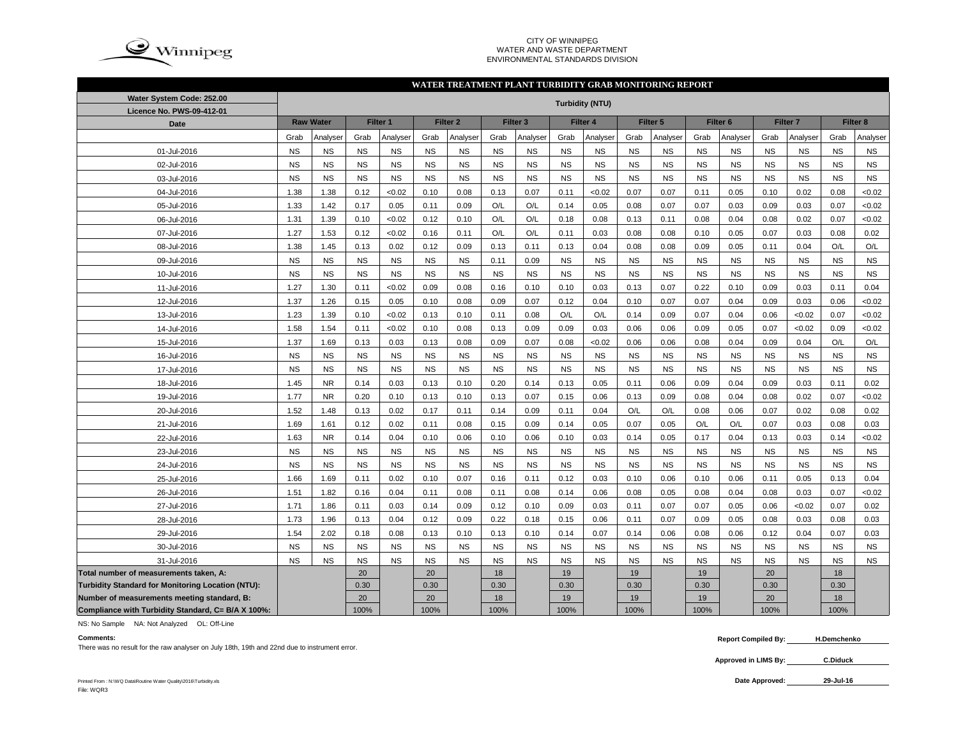

#### CITY OF WINNIPEG WATER AND WASTE DEPARTMENTENVIRONMENTAL STANDARDS DIVISION

#### **WATER TREATMENT PLANT TURBIDITY GRAB MONITORING REPORT**

| Water System Code: 252.00                          | <b>Turbidity (NTU)</b> |                  |           |           |           |                     |           |                     |           |                 |           |           |                     |           |                     |           |                     |           |
|----------------------------------------------------|------------------------|------------------|-----------|-----------|-----------|---------------------|-----------|---------------------|-----------|-----------------|-----------|-----------|---------------------|-----------|---------------------|-----------|---------------------|-----------|
| Licence No. PWS-09-412-01                          |                        |                  |           |           |           |                     |           |                     |           |                 |           |           |                     |           |                     |           |                     |           |
| Date                                               |                        | <b>Raw Water</b> |           | Filter 1  |           | Filter <sub>2</sub> |           | Filter <sub>3</sub> |           | <b>Filter 4</b> |           | Filter 5  | Filter <sub>6</sub> |           | Filter <sub>7</sub> |           | Filter <sub>8</sub> |           |
|                                                    | Grab                   | Analyser         | Grab      | Analyser  | Grab      | Analyser            | Grab      | Analyser            | Grab      | Analyser        | Grab      | Analyser  | Grab                | Analyser  | Grab                | Analyser  | Grab                | Analyser  |
| 01-Jul-2016                                        | <b>NS</b>              | <b>NS</b>        | <b>NS</b> | <b>NS</b> | <b>NS</b> | <b>NS</b>           | <b>NS</b> | <b>NS</b>           | <b>NS</b> | <b>NS</b>       | <b>NS</b> | <b>NS</b> | <b>NS</b>           | <b>NS</b> | <b>NS</b>           | <b>NS</b> | <b>NS</b>           | <b>NS</b> |
| 02-Jul-2016                                        | <b>NS</b>              | <b>NS</b>        | <b>NS</b> | <b>NS</b> | <b>NS</b> | <b>NS</b>           | <b>NS</b> | <b>NS</b>           | <b>NS</b> | <b>NS</b>       | <b>NS</b> | <b>NS</b> | <b>NS</b>           | <b>NS</b> | <b>NS</b>           | <b>NS</b> | <b>NS</b>           | <b>NS</b> |
| 03-Jul-2016                                        | <b>NS</b>              | <b>NS</b>        | <b>NS</b> | <b>NS</b> | <b>NS</b> | <b>NS</b>           | <b>NS</b> | <b>NS</b>           | <b>NS</b> | <b>NS</b>       | <b>NS</b> | <b>NS</b> | <b>NS</b>           | <b>NS</b> | <b>NS</b>           | <b>NS</b> | <b>NS</b>           | <b>NS</b> |
| 04-Jul-2016                                        | 1.38                   | 1.38             | 0.12      | <0.02     | 0.10      | 0.08                | 0.13      | 0.07                | 0.11      | <0.02           | 0.07      | 0.07      | 0.11                | 0.05      | 0.10                | 0.02      | 0.08                | <0.02     |
| 05-Jul-2016                                        | 1.33                   | 1.42             | 0.17      | 0.05      | 0.11      | 0.09                | O/L       | O/L                 | 0.14      | 0.05            | 0.08      | 0.07      | 0.07                | 0.03      | 0.09                | 0.03      | 0.07                | <0.02     |
| 06-Jul-2016                                        | 1.31                   | 1.39             | 0.10      | <0.02     | 0.12      | 0.10                | O/L       | O/L                 | 0.18      | 0.08            | 0.13      | 0.11      | 0.08                | 0.04      | 0.08                | 0.02      | 0.07                | <0.02     |
| 07-Jul-2016                                        | 1.27                   | 1.53             | 0.12      | <0.02     | 0.16      | 0.11                | O/L       | O/L                 | 0.11      | 0.03            | 0.08      | 0.08      | 0.10                | 0.05      | 0.07                | 0.03      | 0.08                | 0.02      |
| 08-Jul-2016                                        | 1.38                   | 1.45             | 0.13      | 0.02      | 0.12      | 0.09                | 0.13      | 0.11                | 0.13      | 0.04            | 0.08      | 0.08      | 0.09                | 0.05      | 0.11                | 0.04      | O/L                 | O/L       |
| 09-Jul-2016                                        | <b>NS</b>              | <b>NS</b>        | <b>NS</b> | <b>NS</b> | <b>NS</b> | <b>NS</b>           | 0.11      | 0.09                | <b>NS</b> | <b>NS</b>       | <b>NS</b> | <b>NS</b> | <b>NS</b>           | <b>NS</b> | <b>NS</b>           | <b>NS</b> | <b>NS</b>           | <b>NS</b> |
| 10-Jul-2016                                        | <b>NS</b>              | <b>NS</b>        | <b>NS</b> | <b>NS</b> | <b>NS</b> | <b>NS</b>           | <b>NS</b> | <b>NS</b>           | <b>NS</b> | <b>NS</b>       | <b>NS</b> | <b>NS</b> | <b>NS</b>           | <b>NS</b> | <b>NS</b>           | <b>NS</b> | <b>NS</b>           | <b>NS</b> |
| 11-Jul-2016                                        | 1.27                   | 1.30             | 0.11      | <0.02     | 0.09      | 0.08                | 0.16      | 0.10                | 0.10      | 0.03            | 0.13      | 0.07      | 0.22                | 0.10      | 0.09                | 0.03      | 0.11                | 0.04      |
| 12-Jul-2016                                        | 1.37                   | 1.26             | 0.15      | 0.05      | 0.10      | 0.08                | 0.09      | 0.07                | 0.12      | 0.04            | 0.10      | 0.07      | 0.07                | 0.04      | 0.09                | 0.03      | 0.06                | <0.02     |
| 13-Jul-2016                                        | 1.23                   | 1.39             | 0.10      | <0.02     | 0.13      | 0.10                | 0.11      | 0.08                | O/L       | O/L             | 0.14      | 0.09      | 0.07                | 0.04      | 0.06                | <0.02     | 0.07                | <0.02     |
| 14-Jul-2016                                        | 1.58                   | 1.54             | 0.11      | <0.02     | 0.10      | 0.08                | 0.13      | 0.09                | 0.09      | 0.03            | 0.06      | 0.06      | 0.09                | 0.05      | 0.07                | <0.02     | 0.09                | <0.02     |
| 15-Jul-2016                                        | 1.37                   | 1.69             | 0.13      | 0.03      | 0.13      | 0.08                | 0.09      | 0.07                | 0.08      | < 0.02          | 0.06      | 0.06      | 0.08                | 0.04      | 0.09                | 0.04      | O/L                 | O/L       |
| 16-Jul-2016                                        | <b>NS</b>              | <b>NS</b>        | <b>NS</b> | <b>NS</b> | <b>NS</b> | <b>NS</b>           | <b>NS</b> | <b>NS</b>           | <b>NS</b> | <b>NS</b>       | <b>NS</b> | <b>NS</b> | <b>NS</b>           | <b>NS</b> | <b>NS</b>           | <b>NS</b> | <b>NS</b>           | <b>NS</b> |
| 17-Jul-2016                                        | <b>NS</b>              | <b>NS</b>        | <b>NS</b> | <b>NS</b> | <b>NS</b> | <b>NS</b>           | <b>NS</b> | <b>NS</b>           | <b>NS</b> | <b>NS</b>       | <b>NS</b> | <b>NS</b> | <b>NS</b>           | <b>NS</b> | <b>NS</b>           | <b>NS</b> | <b>NS</b>           | <b>NS</b> |
| 18-Jul-2016                                        | 1.45                   | <b>NR</b>        | 0.14      | 0.03      | 0.13      | 0.10                | 0.20      | 0.14                | 0.13      | 0.05            | 0.11      | 0.06      | 0.09                | 0.04      | 0.09                | 0.03      | 0.11                | 0.02      |
| 19-Jul-2016                                        | 1.77                   | <b>NR</b>        | 0.20      | 0.10      | 0.13      | 0.10                | 0.13      | 0.07                | 0.15      | 0.06            | 0.13      | 0.09      | 0.08                | 0.04      | 0.08                | 0.02      | 0.07                | <0.02     |
| 20-Jul-2016                                        | 1.52                   | 1.48             | 0.13      | 0.02      | 0.17      | 0.11                | 0.14      | 0.09                | 0.11      | 0.04            | O/L       | O/L       | 0.08                | 0.06      | 0.07                | 0.02      | 0.08                | 0.02      |
| 21-Jul-2016                                        | 1.69                   | 1.61             | 0.12      | 0.02      | 0.11      | 0.08                | 0.15      | 0.09                | 0.14      | 0.05            | 0.07      | 0.05      | O/L                 | O/L       | 0.07                | 0.03      | 0.08                | 0.03      |
| 22-Jul-2016                                        | 1.63                   | <b>NR</b>        | 0.14      | 0.04      | 0.10      | 0.06                | 0.10      | 0.06                | 0.10      | 0.03            | 0.14      | 0.05      | 0.17                | 0.04      | 0.13                | 0.03      | 0.14                | <0.02     |
| 23-Jul-2016                                        | <b>NS</b>              | <b>NS</b>        | <b>NS</b> | <b>NS</b> | <b>NS</b> | <b>NS</b>           | <b>NS</b> | <b>NS</b>           | <b>NS</b> | <b>NS</b>       | <b>NS</b> | <b>NS</b> | <b>NS</b>           | <b>NS</b> | <b>NS</b>           | <b>NS</b> | <b>NS</b>           | <b>NS</b> |
| 24-Jul-2016                                        | <b>NS</b>              | <b>NS</b>        | <b>NS</b> | <b>NS</b> | <b>NS</b> | <b>NS</b>           | <b>NS</b> | <b>NS</b>           | <b>NS</b> | <b>NS</b>       | <b>NS</b> | <b>NS</b> | <b>NS</b>           | <b>NS</b> | <b>NS</b>           | <b>NS</b> | <b>NS</b>           | <b>NS</b> |
| 25-Jul-2016                                        | 1.66                   | 1.69             | 0.11      | 0.02      | 0.10      | 0.07                | 0.16      | 0.11                | 0.12      | 0.03            | 0.10      | 0.06      | 0.10                | 0.06      | 0.11                | 0.05      | 0.13                | 0.04      |
| 26-Jul-2016                                        | 1.51                   | 1.82             | 0.16      | 0.04      | 0.11      | 0.08                | 0.11      | 0.08                | 0.14      | 0.06            | 0.08      | 0.05      | 0.08                | 0.04      | 0.08                | 0.03      | 0.07                | <0.02     |
| 27-Jul-2016                                        | 1.71                   | 1.86             | 0.11      | 0.03      | 0.14      | 0.09                | 0.12      | 0.10                | 0.09      | 0.03            | 0.11      | 0.07      | 0.07                | 0.05      | 0.06                | <0.02     | 0.07                | 0.02      |
| 28-Jul-2016                                        | 1.73                   | 1.96             | 0.13      | 0.04      | 0.12      | 0.09                | 0.22      | 0.18                | 0.15      | 0.06            | 0.11      | 0.07      | 0.09                | 0.05      | 0.08                | 0.03      | 0.08                | 0.03      |
| 29-Jul-2016                                        | 1.54                   | 2.02             | 0.18      | 0.08      | 0.13      | 0.10                | 0.13      | 0.10                | 0.14      | 0.07            | 0.14      | 0.06      | 0.08                | 0.06      | 0.12                | 0.04      | 0.07                | 0.03      |
| 30-Jul-2016                                        | <b>NS</b>              | <b>NS</b>        | <b>NS</b> | <b>NS</b> | <b>NS</b> | <b>NS</b>           | <b>NS</b> | <b>NS</b>           | <b>NS</b> | <b>NS</b>       | <b>NS</b> | <b>NS</b> | <b>NS</b>           | <b>NS</b> | <b>NS</b>           | <b>NS</b> | <b>NS</b>           | <b>NS</b> |
| 31-Jul-2016                                        | <b>NS</b>              | <b>NS</b>        | <b>NS</b> | <b>NS</b> | <b>NS</b> | <b>NS</b>           | <b>NS</b> | <b>NS</b>           | <b>NS</b> | <b>NS</b>       | <b>NS</b> | <b>NS</b> | <b>NS</b>           | <b>NS</b> | <b>NS</b>           | <b>NS</b> | <b>NS</b>           | <b>NS</b> |
| Total number of measurements taken, A:             |                        |                  | 20        |           | 20        |                     | 18        |                     | 19        |                 | 19        |           | 19                  |           | 20                  |           | 18                  |           |
| Turbidity Standard for Monitoring Location (NTU):  |                        |                  | 0.30      |           | 0.30      |                     | 0.30      |                     | 0.30      |                 | 0.30      |           | 0.30                |           | 0.30                |           | 0.30                |           |
| Number of measurements meeting standard, B:        |                        |                  | 20        |           | 20        |                     | 18        |                     | 19        |                 | 19        |           | 19                  |           | 20                  |           | 18                  |           |
| Compliance with Turbidity Standard, C= B/A X 100%: |                        |                  | 100%      |           | 100%      |                     | 100%      |                     | 100%      |                 | 100%      |           | 100%                |           | 100%                |           | 100%                |           |

NS: No Sample NA: Not Analyzed OL: Off-Line

#### **Comments:**

There was no result for the raw analyser on July 18th, 19th and 22nd due to instrument error.

**Approved in LIMS By: C.Diduck**

**29-Jul-16**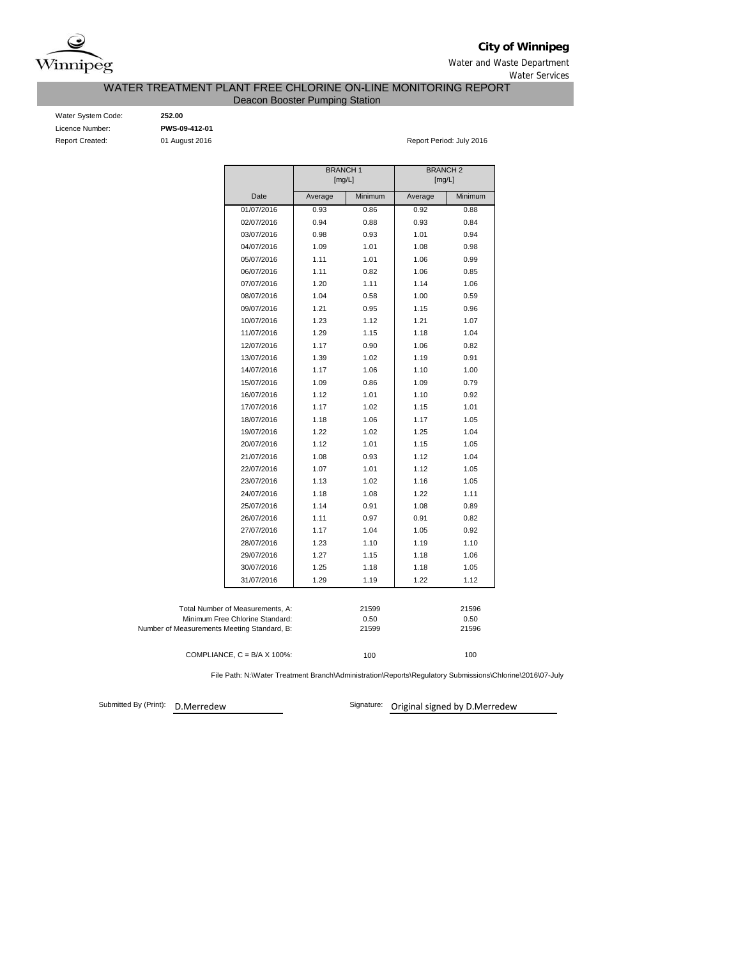

# **City of Winnipeg**

Water and Waste Department Water Services

## WATER TREATMENT PLANT FREE CHLORINE ON-LINE MONITORING REPORT

Deacon Booster Pumping Station

Water System Code: **252.00** Licence Number: **PWS-09-412-01**

Report Created: 01 August 2016 Report Period: July 2016

|                                             | <b>BRANCH1</b><br>[mg/L] |         | <b>BRANCH 2</b><br>[mg/L] |         |
|---------------------------------------------|--------------------------|---------|---------------------------|---------|
| Date                                        | Average                  | Minimum | Average                   | Minimum |
| 01/07/2016                                  | 0.93                     | 0.86    | 0.92                      | 0.88    |
| 02/07/2016                                  | 0.94                     | 0.88    | 0.93                      | 0.84    |
| 03/07/2016                                  | 0.98                     | 0.93    | 1.01                      | 0.94    |
| 04/07/2016                                  | 1.09                     | 1.01    | 1.08                      | 0.98    |
| 05/07/2016                                  | 1.11                     | 1.01    | 1.06                      | 0.99    |
| 06/07/2016                                  | 1.11                     | 0.82    | 1.06                      | 0.85    |
| 07/07/2016                                  | 1.20                     | 1.11    | 1.14                      | 1.06    |
| 08/07/2016                                  | 1.04                     | 0.58    | 1.00                      | 0.59    |
| 09/07/2016                                  | 1.21                     | 0.95    | 1.15                      | 0.96    |
| 10/07/2016                                  | 1.23                     | 1.12    | 1.21                      | 1.07    |
| 11/07/2016                                  | 1.29                     | 1.15    | 1.18                      | 1.04    |
| 12/07/2016                                  | 1.17                     | 0.90    | 1.06                      | 0.82    |
| 13/07/2016                                  | 1.39                     | 1.02    | 1.19                      | 0.91    |
| 14/07/2016                                  | 1.17                     | 1.06    | 1.10                      | 1.00    |
| 15/07/2016                                  | 1.09                     | 0.86    | 1.09                      | 0.79    |
| 16/07/2016                                  | 1.12                     | 1.01    | 1.10                      | 0.92    |
| 17/07/2016                                  | 1.17                     | 1.02    | 1.15                      | 1.01    |
| 18/07/2016                                  | 1.18                     | 1.06    | 1.17                      | 1.05    |
| 19/07/2016                                  | 1.22                     | 1.02    | 1.25                      | 1.04    |
| 20/07/2016                                  | 1.12                     | 1.01    | 1.15                      | 1.05    |
| 21/07/2016                                  | 1.08                     | 0.93    | 1.12                      | 1.04    |
| 22/07/2016                                  | 1.07                     | 1.01    | 1.12                      | 1.05    |
| 23/07/2016                                  | 1.13                     | 1.02    | 1.16                      | 1.05    |
| 24/07/2016                                  | 1.18                     | 1.08    | 1.22                      | 1.11    |
| 25/07/2016                                  | 1.14                     | 0.91    | 1.08                      | 0.89    |
| 26/07/2016                                  | 1.11                     | 0.97    | 0.91                      | 0.82    |
| 27/07/2016                                  | 1.17                     | 1.04    | 1.05                      | 0.92    |
| 28/07/2016                                  | 1.23                     | 1.10    | 1.19                      | 1.10    |
| 29/07/2016                                  | 1.27                     | 1.15    | 1.18                      | 1.06    |
| 30/07/2016                                  | 1.25                     | 1.18    | 1.18                      | 1.05    |
| 31/07/2016                                  | 1.29                     | 1.19    | 1.22                      | 1.12    |
|                                             |                          |         |                           |         |
| Total Number of Measurements, A:            |                          | 21599   |                           | 21596   |
| Minimum Free Chlorine Standard:             |                          | 0.50    |                           | 0.50    |
| Number of Measurements Meeting Standard, B: |                          | 21599   |                           | 21596   |
|                                             |                          |         |                           |         |
| COMPLIANCE, $C = B/A \times 100\%$ :        |                          | 100     |                           | 100     |

File Path: N:\Water Treatment Branch\Administration\Reports\Regulatory Submissions\Chlorine\2016\07-July

Submitted By (Print): D.Merredew

Signature: Original signed by D.Merredew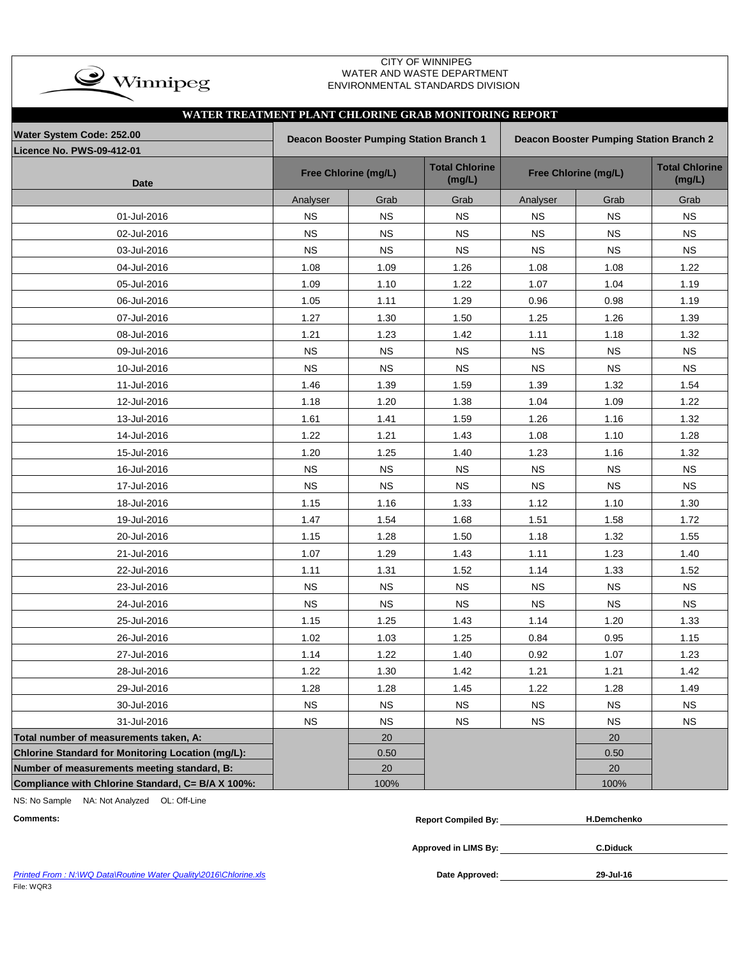| $\rightarrow$ Winnipeg |
|------------------------|
|                        |

### CITY OF WINNIPEG WATER AND WASTE DEPARTMENT ENVIRONMENTAL STANDARDS DIVISION

| WATER TREATMENT PLANT CHLORINE GRAB MONITORING REPORT |           |                                         |                                 |           |                                         |                                 |  |  |
|-------------------------------------------------------|-----------|-----------------------------------------|---------------------------------|-----------|-----------------------------------------|---------------------------------|--|--|
| Water System Code: 252.00                             |           | Deacon Booster Pumping Station Branch 1 |                                 |           | Deacon Booster Pumping Station Branch 2 |                                 |  |  |
| <b>Licence No. PWS-09-412-01</b>                      |           |                                         |                                 |           |                                         |                                 |  |  |
| Date                                                  |           | Free Chlorine (mg/L)                    | <b>Total Chlorine</b><br>(mg/L) |           | Free Chlorine (mg/L)                    | <b>Total Chlorine</b><br>(mg/L) |  |  |
|                                                       | Analyser  | Grab                                    | Grab                            | Analyser  | Grab                                    | Grab                            |  |  |
| 01-Jul-2016                                           | <b>NS</b> | $_{\rm NS}$                             | <b>NS</b>                       | <b>NS</b> | NS                                      | <b>NS</b>                       |  |  |
| 02-Jul-2016                                           | <b>NS</b> | <b>NS</b>                               | <b>NS</b>                       | <b>NS</b> | <b>NS</b>                               | <b>NS</b>                       |  |  |
| 03-Jul-2016                                           | <b>NS</b> | <b>NS</b>                               | <b>NS</b>                       | <b>NS</b> | <b>NS</b>                               | <b>NS</b>                       |  |  |
| 04-Jul-2016                                           | 1.08      | 1.09                                    | 1.26                            | 1.08      | 1.08                                    | 1.22                            |  |  |
| 05-Jul-2016                                           | 1.09      | 1.10                                    | 1.22                            | 1.07      | 1.04                                    | 1.19                            |  |  |
| 06-Jul-2016                                           | 1.05      | 1.11                                    | 1.29                            | 0.96      | 0.98                                    | 1.19                            |  |  |
| 07-Jul-2016                                           | 1.27      | 1.30                                    | 1.50                            | 1.25      | 1.26                                    | 1.39                            |  |  |
| 08-Jul-2016                                           | 1.21      | 1.23                                    | 1.42                            | 1.11      | 1.18                                    | 1.32                            |  |  |
| 09-Jul-2016                                           | <b>NS</b> | <b>NS</b>                               | <b>NS</b>                       | <b>NS</b> | <b>NS</b>                               | <b>NS</b>                       |  |  |
| 10-Jul-2016                                           | <b>NS</b> | <b>NS</b>                               | <b>NS</b>                       | <b>NS</b> | <b>NS</b>                               | <b>NS</b>                       |  |  |
| 11-Jul-2016                                           | 1.46      | 1.39                                    | 1.59                            | 1.39      | 1.32                                    | 1.54                            |  |  |
| 12-Jul-2016                                           | 1.18      | 1.20                                    | 1.38                            | 1.04      | 1.09                                    | 1.22                            |  |  |
| 13-Jul-2016                                           | 1.61      | 1.41                                    | 1.59                            | 1.26      | 1.16                                    | 1.32                            |  |  |
| 14-Jul-2016                                           | 1.22      | 1.21                                    | 1.43                            | 1.08      | 1.10                                    | 1.28                            |  |  |
| 15-Jul-2016                                           | 1.20      | 1.25                                    | 1.40                            | 1.23      | 1.16                                    | 1.32                            |  |  |
| 16-Jul-2016                                           | <b>NS</b> | <b>NS</b>                               | <b>NS</b>                       | <b>NS</b> | <b>NS</b>                               | <b>NS</b>                       |  |  |
| 17-Jul-2016                                           | <b>NS</b> | <b>NS</b>                               | <b>NS</b>                       | <b>NS</b> | <b>NS</b>                               | <b>NS</b>                       |  |  |
| 18-Jul-2016                                           | 1.15      | 1.16                                    | 1.33                            | 1.12      | 1.10                                    | 1.30                            |  |  |
| 19-Jul-2016                                           | 1.47      | 1.54                                    | 1.68                            | 1.51      | 1.58                                    | 1.72                            |  |  |
| 20-Jul-2016                                           | 1.15      | 1.28                                    | 1.50                            | 1.18      | 1.32                                    | 1.55                            |  |  |
| 21-Jul-2016                                           | 1.07      | 1.29                                    | 1.43                            | 1.11      | 1.23                                    | 1.40                            |  |  |
| 22-Jul-2016                                           | 1.11      | 1.31                                    | 1.52                            | 1.14      | 1.33                                    | 1.52                            |  |  |
| 23-Jul-2016                                           | <b>NS</b> | <b>NS</b>                               | <b>NS</b>                       | <b>NS</b> | <b>NS</b>                               | <b>NS</b>                       |  |  |
| 24-Jul-2016                                           | <b>NS</b> | NS.                                     | <b>NS</b>                       | <b>NS</b> | <b>NS</b>                               | <b>NS</b>                       |  |  |
| 25-Jul-2016                                           | 1.15      | 1.25                                    | 1.43                            | 1.14      | 1.20                                    | 1.33                            |  |  |
| 26-Jul-2016                                           | 1.02      | 1.03                                    | 1.25                            | 0.84      | 0.95                                    | 1.15                            |  |  |
| 27-Jul-2016                                           | 1.14      | 1.22                                    | 1.40                            | 0.92      | 1.07                                    | 1.23                            |  |  |
| 28-Jul-2016                                           | 1.22      | 1.30                                    | 1.42                            | 1.21      | 1.21                                    | 1.42                            |  |  |
| 29-Jul-2016                                           | 1.28      | 1.28                                    | 1.45                            | 1.22      | 1.28                                    | 1.49                            |  |  |
| 30-Jul-2016                                           | <b>NS</b> | <b>NS</b>                               | <b>NS</b>                       | <b>NS</b> | <b>NS</b>                               | <b>NS</b>                       |  |  |
| 31-Jul-2016                                           | <b>NS</b> | <b>NS</b>                               | <b>NS</b>                       | <b>NS</b> | <b>NS</b>                               | <b>NS</b>                       |  |  |
| Total number of measurements taken, A:                |           | 20                                      |                                 |           | 20                                      |                                 |  |  |
| Chlorine Standard for Monitoring Location (mg/L):     |           | 0.50                                    |                                 |           | 0.50                                    |                                 |  |  |
| Number of measurements meeting standard, B:           |           | 20                                      |                                 |           | 20                                      |                                 |  |  |
| Compliance with Chlorine Standard, C= B/A X 100%:     |           | 100%                                    |                                 |           | 100%                                    |                                 |  |  |

NS: No Sample NA: Not Analyzed OL: Off-Line

| Comments | Compiled Bv:<br>Renor' | .nchenko |
|----------|------------------------|----------|
|          |                        |          |

**Approved in LIMS By: C.Diduck**

|            |  | Printed From: N:WQ Data\Routine Water Quality\2016\Chlorine.xls |
|------------|--|-----------------------------------------------------------------|
| File: WQR3 |  |                                                                 |

 $P$ Pate Approved:  $\frac{M}{M}$ 

**29-Jul-16**